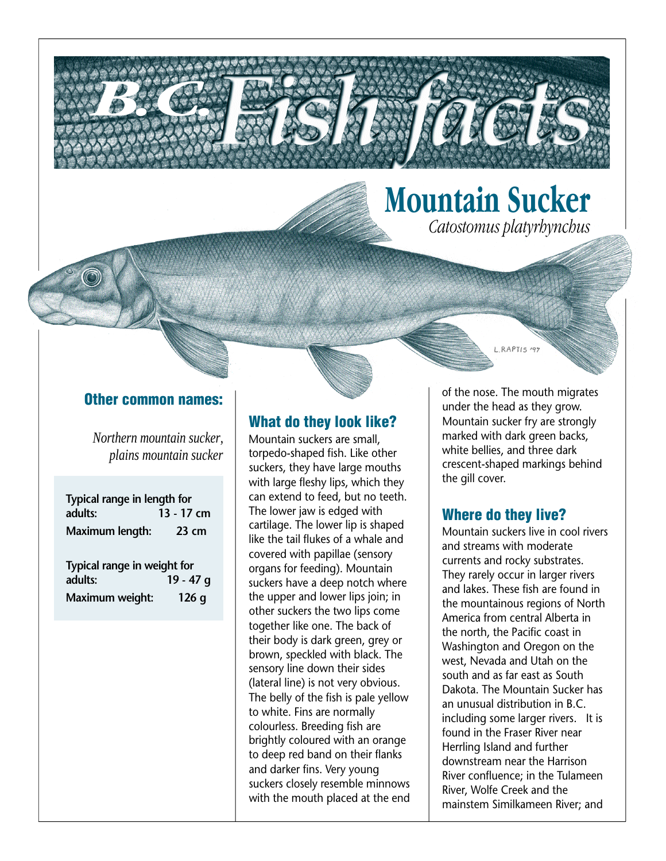

#### Other common names:

**B.C. (2004)** 

*Northern mountain sucker, plains mountain sucker*

| Typical range in length for<br>adults: | 13 - 17 cm |
|----------------------------------------|------------|
| Maximum length:                        | 23 cm      |
| Typical range in weight for<br>adults: | 19 - 47 g  |
| Maximum weight:                        | 126q       |

#### What do they look like?

Mountain suckers are small, torpedo-shaped fish. Like other suckers, they have large mouths with large fleshy lips, which they can extend to feed, but no teeth. The lower jaw is edged with cartilage. The lower lip is shaped like the tail flukes of a whale and covered with papillae (sensory organs for feeding). Mountain suckers have a deep notch where the upper and lower lips join; in other suckers the two lips come together like one. The back of their body is dark green, grey or brown, speckled with black. The sensory line down their sides (lateral line) is not very obvious. The belly of the fish is pale yellow to white. Fins are normally colourless. Breeding fish are brightly coloured with an orange to deep red band on their flanks and darker fins. Very young suckers closely resemble minnows with the mouth placed at the end

of the nose. The mouth migrates under the head as they grow. Mountain sucker fry are strongly marked with dark green backs, white bellies, and three dark crescent-shaped markings behind the gill cover.

L.RAPTIS '97

#### Where do they live?

Mountain suckers live in cool rivers and streams with moderate currents and rocky substrates. They rarely occur in larger rivers and lakes. These fish are found in the mountainous regions of North America from central Alberta in the north, the Pacific coast in Washington and Oregon on the west, Nevada and Utah on the south and as far east as South Dakota. The Mountain Sucker has an unusual distribution in B.C. including some larger rivers. It is found in the Fraser River near Herrling Island and further downstream near the Harrison River confluence; in the Tulameen River, Wolfe Creek and the mainstem Similkameen River; and